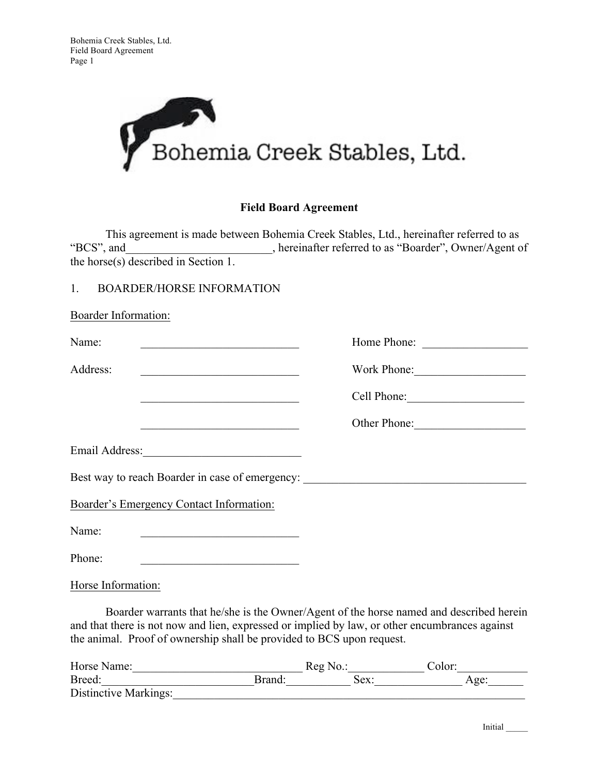

## **Field Board Agreement**

This agreement is made between Bohemia Creek Stables, Ltd., hereinafter referred to as "BCS", and <br>hereinafter referred to as "Boarder", Owner/Agent of , hereinafter referred to as "Boarder", Owner/Agent of the horse(s) described in Section 1.

## 1. BOARDER/HORSE INFORMATION

| 1. BOARDER/HORSE INFORMATION                                                                                                                                                                                                                  |              |
|-----------------------------------------------------------------------------------------------------------------------------------------------------------------------------------------------------------------------------------------------|--------------|
| Boarder Information:                                                                                                                                                                                                                          |              |
| Name:<br><u> 1989 - Johann Harry Harry Harry Harry Harry Harry Harry Harry Harry Harry Harry Harry Harry Harry Harry Harry Harry Harry Harry Harry Harry Harry Harry Harry Harry Harry Harry Harry Harry Harry Harry Harry Harry Harry Ha</u> | Home Phone:  |
| Address:<br><u> 1989 - Johann Barn, mars ann an t-Amhain an t-Amhain an t-Amhain an t-Amhain an t-Amhain an t-Amhain an t-Amh</u>                                                                                                             |              |
| <u> 1989 - Johann Barn, mars eta inperiodo</u>                                                                                                                                                                                                |              |
| <u> 1989 - Johann Barbara, martin amerikan basal dan berasal dan berasal dalam basal dalam basal dalam basal dala</u>                                                                                                                         | Other Phone: |
|                                                                                                                                                                                                                                               |              |
| Best way to reach Boarder in case of emergency: ________________________________                                                                                                                                                              |              |
| Boarder's Emergency Contact Information:                                                                                                                                                                                                      |              |
| Name:<br><u> 2008 - Jan Barnett, fransk politik (d. 1888)</u>                                                                                                                                                                                 |              |
| Phone:<br><u> 1980 - Johann Stoff, deutscher Stoff, der Stoff, der Stoff, der Stoff, der Stoff, der Stoff, der Stoff, der S</u>                                                                                                               |              |
| $\mathbf{r}$ $\mathbf{r}$ $\mathbf{r}$ $\mathbf{r}$ $\mathbf{r}$ $\mathbf{r}$                                                                                                                                                                 |              |

Horse Information:

Boarder warrants that he/she is the Owner/Agent of the horse named and described herein and that there is not now and lien, expressed or implied by law, or other encumbrances against the animal. Proof of ownership shall be provided to BCS upon request.

| Horse Name:                  | Reg No. |      | Color: |  |
|------------------------------|---------|------|--------|--|
| Breed:                       | Brand   | Sex: | Age:   |  |
| <b>Distinctive Markings:</b> |         |      |        |  |

Initial \_\_\_\_\_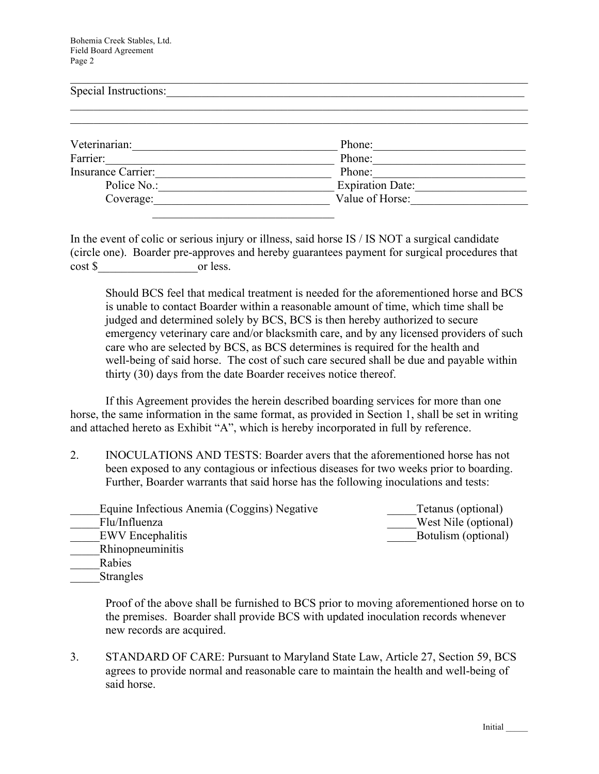Bohemia Creek Stables, Ltd. Field Board Agreement Page 2

| Special Instructions: |                         |  |
|-----------------------|-------------------------|--|
|                       |                         |  |
| Veterinarian:         | Phone:                  |  |
| Farrier:              | Phone:                  |  |
| Insurance Carrier:    | Phone:                  |  |
| Police No.:           | <b>Expiration Date:</b> |  |
| Coverage:             | Value of Horse:         |  |

In the event of colic or serious injury or illness, said horse IS / IS NOT a surgical candidate (circle one). Boarder pre-approves and hereby guarantees payment for surgical procedures that cost \$ or less.

Should BCS feel that medical treatment is needed for the aforementioned horse and BCS is unable to contact Boarder within a reasonable amount of time, which time shall be judged and determined solely by BCS, BCS is then hereby authorized to secure emergency veterinary care and/or blacksmith care, and by any licensed providers of such care who are selected by BCS, as BCS determines is required for the health and well-being of said horse. The cost of such care secured shall be due and payable within thirty (30) days from the date Boarder receives notice thereof.

If this Agreement provides the herein described boarding services for more than one horse, the same information in the same format, as provided in Section 1, shall be set in writing and attached hereto as Exhibit "A", which is hereby incorporated in full by reference.

2. INOCULATIONS AND TESTS: Boarder avers that the aforementioned horse has not been exposed to any contagious or infectious diseases for two weeks prior to boarding. Further, Boarder warrants that said horse has the following inoculations and tests:

| Equine Infectious Anemia (Coggins) Negative | Tetanus (optional)   |
|---------------------------------------------|----------------------|
| Flu/Influenza                               | West Nile (optional) |
| <b>EWV</b> Encephalitis                     | Botulism (optional)  |
| <b>Rhinopneuminitis</b>                     |                      |
| Rabies                                      |                      |

**Strangles** 

Proof of the above shall be furnished to BCS prior to moving aforementioned horse on to the premises. Boarder shall provide BCS with updated inoculation records whenever new records are acquired.

3. STANDARD OF CARE: Pursuant to Maryland State Law, Article 27, Section 59, BCS agrees to provide normal and reasonable care to maintain the health and well-being of said horse.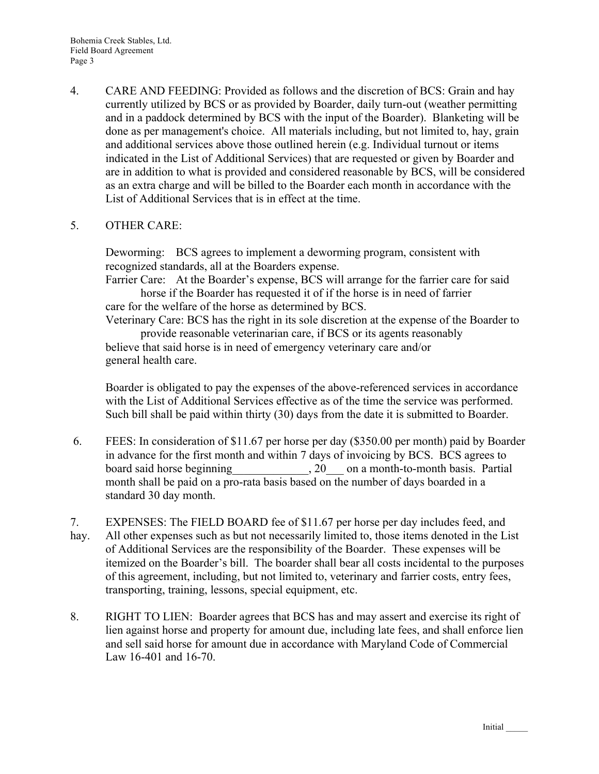4. CARE AND FEEDING: Provided as follows and the discretion of BCS: Grain and hay currently utilized by BCS or as provided by Boarder, daily turn-out (weather permitting and in a paddock determined by BCS with the input of the Boarder). Blanketing will be done as per management's choice. All materials including, but not limited to, hay, grain and additional services above those outlined herein (e.g. Individual turnout or items indicated in the List of Additional Services) that are requested or given by Boarder and are in addition to what is provided and considered reasonable by BCS, will be considered as an extra charge and will be billed to the Boarder each month in accordance with the List of Additional Services that is in effect at the time.

## 5. OTHER CARE:

Deworming: BCS agrees to implement a deworming program, consistent with recognized standards, all at the Boarders expense.

Farrier Care: At the Boarder's expense, BCS will arrange for the farrier care for said horse if the Boarder has requested it of if the horse is in need of farrier care for the welfare of the horse as determined by BCS.

Veterinary Care: BCS has the right in its sole discretion at the expense of the Boarder to provide reasonable veterinarian care, if BCS or its agents reasonably believe that said horse is in need of emergency veterinary care and/or

general health care.

Boarder is obligated to pay the expenses of the above-referenced services in accordance with the List of Additional Services effective as of the time the service was performed. Such bill shall be paid within thirty (30) days from the date it is submitted to Boarder.

- 6. FEES: In consideration of \$11.67 per horse per day (\$350.00 per month) paid by Boarder in advance for the first month and within 7 days of invoicing by BCS. BCS agrees to board said horse beginning 20 on a month-to-month basis. Partial month shall be paid on a pro-rata basis based on the number of days boarded in a standard 30 day month.
- 7. EXPENSES: The FIELD BOARD fee of \$11.67 per horse per day includes feed, and hay. All other expenses such as but not necessarily limited to, those items denoted in the List of Additional Services are the responsibility of the Boarder. These expenses will be itemized on the Boarder's bill. The boarder shall bear all costs incidental to the purposes
- of this agreement, including, but not limited to, veterinary and farrier costs, entry fees, transporting, training, lessons, special equipment, etc.
- 8. RIGHT TO LIEN: Boarder agrees that BCS has and may assert and exercise its right of lien against horse and property for amount due, including late fees, and shall enforce lien and sell said horse for amount due in accordance with Maryland Code of Commercial Law 16-401 and 16-70.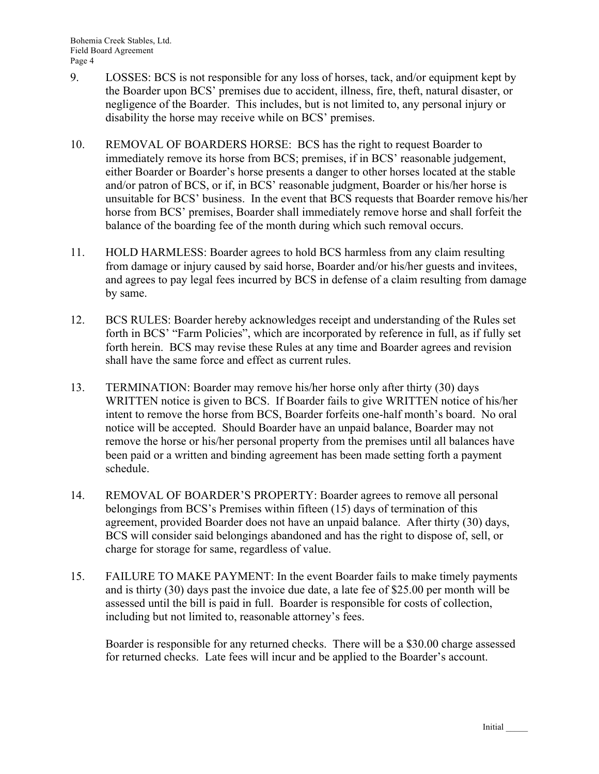- 9. LOSSES: BCS is not responsible for any loss of horses, tack, and/or equipment kept by the Boarder upon BCS' premises due to accident, illness, fire, theft, natural disaster, or negligence of the Boarder. This includes, but is not limited to, any personal injury or disability the horse may receive while on BCS' premises.
- 10. REMOVAL OF BOARDERS HORSE: BCS has the right to request Boarder to immediately remove its horse from BCS; premises, if in BCS' reasonable judgement, either Boarder or Boarder's horse presents a danger to other horses located at the stable and/or patron of BCS, or if, in BCS' reasonable judgment, Boarder or his/her horse is unsuitable for BCS' business. In the event that BCS requests that Boarder remove his/her horse from BCS' premises, Boarder shall immediately remove horse and shall forfeit the balance of the boarding fee of the month during which such removal occurs.
- 11. HOLD HARMLESS: Boarder agrees to hold BCS harmless from any claim resulting from damage or injury caused by said horse, Boarder and/or his/her guests and invitees, and agrees to pay legal fees incurred by BCS in defense of a claim resulting from damage by same.
- 12. BCS RULES: Boarder hereby acknowledges receipt and understanding of the Rules set forth in BCS' "Farm Policies", which are incorporated by reference in full, as if fully set forth herein. BCS may revise these Rules at any time and Boarder agrees and revision shall have the same force and effect as current rules.
- 13. TERMINATION: Boarder may remove his/her horse only after thirty (30) days WRITTEN notice is given to BCS. If Boarder fails to give WRITTEN notice of his/her intent to remove the horse from BCS, Boarder forfeits one-half month's board. No oral notice will be accepted. Should Boarder have an unpaid balance, Boarder may not remove the horse or his/her personal property from the premises until all balances have been paid or a written and binding agreement has been made setting forth a payment schedule.
- 14. REMOVAL OF BOARDER'S PROPERTY: Boarder agrees to remove all personal belongings from BCS's Premises within fifteen (15) days of termination of this agreement, provided Boarder does not have an unpaid balance. After thirty (30) days, BCS will consider said belongings abandoned and has the right to dispose of, sell, or charge for storage for same, regardless of value.
- 15. FAILURE TO MAKE PAYMENT: In the event Boarder fails to make timely payments and is thirty (30) days past the invoice due date, a late fee of \$25.00 per month will be assessed until the bill is paid in full. Boarder is responsible for costs of collection, including but not limited to, reasonable attorney's fees.

Boarder is responsible for any returned checks. There will be a \$30.00 charge assessed for returned checks. Late fees will incur and be applied to the Boarder's account.